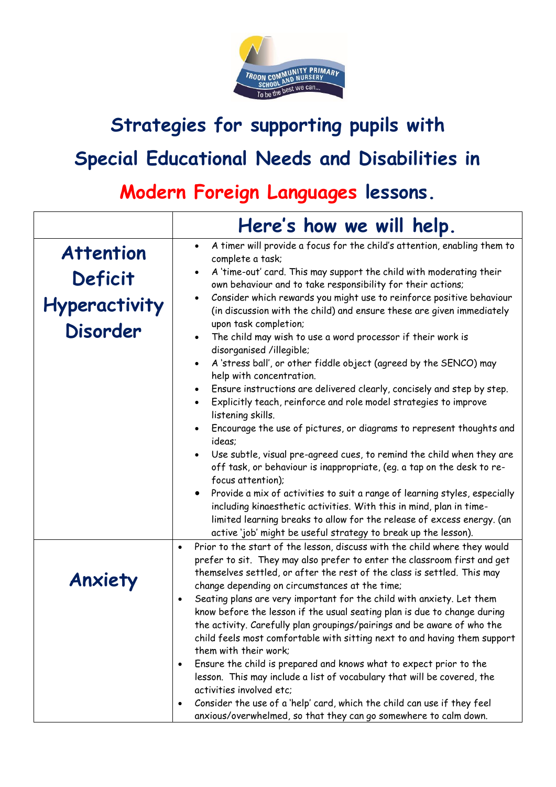

## **Strategies for supporting pupils with Special Educational Needs and Disabilities in**

## **Modern Foreign Languages lessons.**

|                                         | Here's how we will help.                                                                                                                                                                                                                                                                                                                                                                          |
|-----------------------------------------|---------------------------------------------------------------------------------------------------------------------------------------------------------------------------------------------------------------------------------------------------------------------------------------------------------------------------------------------------------------------------------------------------|
| <b>Attention</b>                        | A timer will provide a focus for the child's attention, enabling them to<br>$\bullet$<br>complete a task;                                                                                                                                                                                                                                                                                         |
| <b>Deficit</b>                          | A 'time-out' card. This may support the child with moderating their<br>own behaviour and to take responsibility for their actions;                                                                                                                                                                                                                                                                |
| <b>Hyperactivity</b><br><b>Disorder</b> | Consider which rewards you might use to reinforce positive behaviour<br>(in discussion with the child) and ensure these are given immediately<br>upon task completion;<br>The child may wish to use a word processor if their work is                                                                                                                                                             |
|                                         | disorganised /illegible;<br>A 'stress ball', or other fiddle object (agreed by the SENCO) may<br>help with concentration.                                                                                                                                                                                                                                                                         |
|                                         | Ensure instructions are delivered clearly, concisely and step by step.<br>Explicitly teach, reinforce and role model strategies to improve<br>$\bullet$<br>listening skills.                                                                                                                                                                                                                      |
|                                         | Encourage the use of pictures, or diagrams to represent thoughts and<br>ideas:                                                                                                                                                                                                                                                                                                                    |
|                                         | Use subtle, visual pre-agreed cues, to remind the child when they are<br>off task, or behaviour is inappropriate, (eq. a tap on the desk to re-<br>focus attention);                                                                                                                                                                                                                              |
|                                         | Provide a mix of activities to suit a range of learning styles, especially<br>including kinaesthetic activities. With this in mind, plan in time-<br>limited learning breaks to allow for the release of excess energy. (an<br>active 'job' might be useful strategy to break up the lesson).                                                                                                     |
| Anxiety                                 | Prior to the start of the lesson, discuss with the child where they would<br>$\bullet$<br>prefer to sit. They may also prefer to enter the classroom first and get<br>themselves settled, or after the rest of the class is settled. This may                                                                                                                                                     |
|                                         | change depending on circumstances at the time;<br>Seating plans are very important for the child with anxiety. Let them<br>$\bullet$<br>know before the lesson if the usual seating plan is due to change during<br>the activity. Carefully plan groupings/pairings and be aware of who the<br>child feels most comfortable with sitting next to and having them support<br>them with their work: |
|                                         | Ensure the child is prepared and knows what to expect prior to the<br>$\bullet$<br>lesson. This may include a list of vocabulary that will be covered, the<br>activities involved etc:                                                                                                                                                                                                            |
|                                         | Consider the use of a 'help' card, which the child can use if they feel<br>$\bullet$<br>anxious/overwhelmed, so that they can go somewhere to calm down.                                                                                                                                                                                                                                          |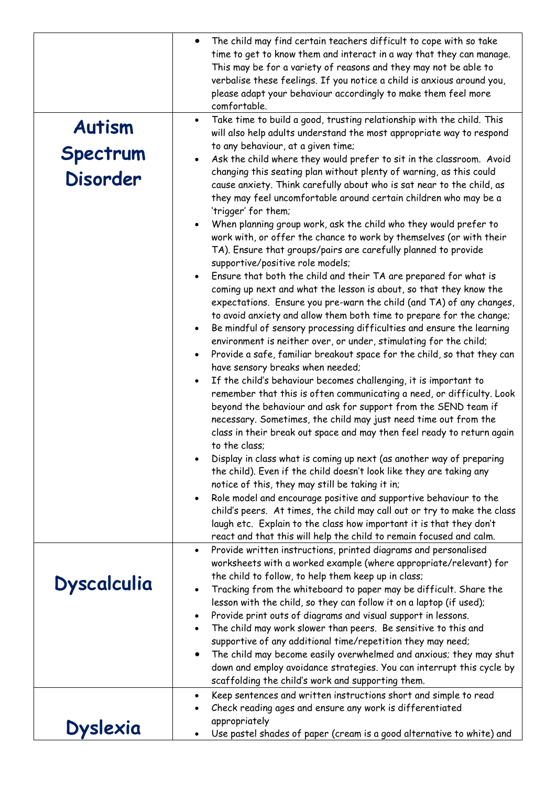|                    | The child may find certain teachers difficult to cope with so take<br>time to get to know them and interact in a way that they can manage.<br>This may be for a variety of reasons and they may not be able to<br>verbalise these feelings. If you notice a child is anxious around you,<br>please adapt your behaviour accordingly to make them feel more<br>comfortable.                                                                                                                                                                                                                                                                                                                                                                                                                                                              |
|--------------------|-----------------------------------------------------------------------------------------------------------------------------------------------------------------------------------------------------------------------------------------------------------------------------------------------------------------------------------------------------------------------------------------------------------------------------------------------------------------------------------------------------------------------------------------------------------------------------------------------------------------------------------------------------------------------------------------------------------------------------------------------------------------------------------------------------------------------------------------|
| <b>Autism</b>      | Take time to build a good, trusting relationship with the child. This<br>will also help adults understand the most appropriate way to respond                                                                                                                                                                                                                                                                                                                                                                                                                                                                                                                                                                                                                                                                                           |
|                    | to any behaviour, at a given time;                                                                                                                                                                                                                                                                                                                                                                                                                                                                                                                                                                                                                                                                                                                                                                                                      |
| Spectrum           | Ask the child where they would prefer to sit in the classroom. Avoid                                                                                                                                                                                                                                                                                                                                                                                                                                                                                                                                                                                                                                                                                                                                                                    |
| <b>Disorder</b>    | changing this seating plan without plenty of warning, as this could<br>cause anxiety. Think carefully about who is sat near to the child, as<br>they may feel uncomfortable around certain children who may be a<br>'trigger' for them;<br>When planning group work, ask the child who they would prefer to                                                                                                                                                                                                                                                                                                                                                                                                                                                                                                                             |
|                    | work with, or offer the chance to work by themselves (or with their<br>TA). Ensure that groups/pairs are carefully planned to provide<br>supportive/positive role models;                                                                                                                                                                                                                                                                                                                                                                                                                                                                                                                                                                                                                                                               |
|                    | Ensure that both the child and their TA are prepared for what is<br>coming up next and what the lesson is about, so that they know the<br>expectations. Ensure you pre-warn the child (and TA) of any changes,<br>to avoid anxiety and allow them both time to prepare for the change;<br>Be mindful of sensory processing difficulties and ensure the learning<br>$\bullet$                                                                                                                                                                                                                                                                                                                                                                                                                                                            |
|                    | environment is neither over, or under, stimulating for the child;<br>Provide a safe, familiar breakout space for the child, so that they can<br>$\bullet$                                                                                                                                                                                                                                                                                                                                                                                                                                                                                                                                                                                                                                                                               |
|                    | have sensory breaks when needed;<br>If the child's behaviour becomes challenging, it is important to<br>remember that this is often communicating a need, or difficulty. Look<br>beyond the behaviour and ask for support from the SEND team if<br>necessary. Sometimes, the child may just need time out from the<br>class in their break out space and may then feel ready to return again<br>to the class;<br>Display in class what is coming up next (as another way of preparing<br>the child). Even if the child doesn't look like they are taking any<br>notice of this, they may still be taking it in;<br>Role model and encourage positive and supportive behaviour to the<br>child's peers. At times, the child may call out or try to make the class<br>laugh etc. Explain to the class how important it is that they don't |
|                    | react and that this will help the child to remain focused and calm.                                                                                                                                                                                                                                                                                                                                                                                                                                                                                                                                                                                                                                                                                                                                                                     |
|                    | Provide written instructions, printed diagrams and personalised<br>$\bullet$<br>worksheets with a worked example (where appropriate/relevant) for<br>the child to follow, to help them keep up in class;                                                                                                                                                                                                                                                                                                                                                                                                                                                                                                                                                                                                                                |
| <b>Dyscalculia</b> | Tracking from the whiteboard to paper may be difficult. Share the                                                                                                                                                                                                                                                                                                                                                                                                                                                                                                                                                                                                                                                                                                                                                                       |
|                    | lesson with the child, so they can follow it on a laptop (if used);<br>Provide print outs of diagrams and visual support in lessons.<br>$\bullet$                                                                                                                                                                                                                                                                                                                                                                                                                                                                                                                                                                                                                                                                                       |
|                    | The child may work slower than peers. Be sensitive to this and                                                                                                                                                                                                                                                                                                                                                                                                                                                                                                                                                                                                                                                                                                                                                                          |
|                    | supportive of any additional time/repetition they may need;                                                                                                                                                                                                                                                                                                                                                                                                                                                                                                                                                                                                                                                                                                                                                                             |
|                    | The child may become easily overwhelmed and anxious; they may shut<br>$\bullet$<br>down and employ avoidance strategies. You can interrupt this cycle by                                                                                                                                                                                                                                                                                                                                                                                                                                                                                                                                                                                                                                                                                |
|                    | scaffolding the child's work and supporting them.                                                                                                                                                                                                                                                                                                                                                                                                                                                                                                                                                                                                                                                                                                                                                                                       |
|                    | Keep sentences and written instructions short and simple to read<br>$\bullet$                                                                                                                                                                                                                                                                                                                                                                                                                                                                                                                                                                                                                                                                                                                                                           |
|                    | Check reading ages and ensure any work is differentiated                                                                                                                                                                                                                                                                                                                                                                                                                                                                                                                                                                                                                                                                                                                                                                                |
| <b>Dyslexia</b>    | appropriately<br>Use pastel shades of paper (cream is a good alternative to white) and                                                                                                                                                                                                                                                                                                                                                                                                                                                                                                                                                                                                                                                                                                                                                  |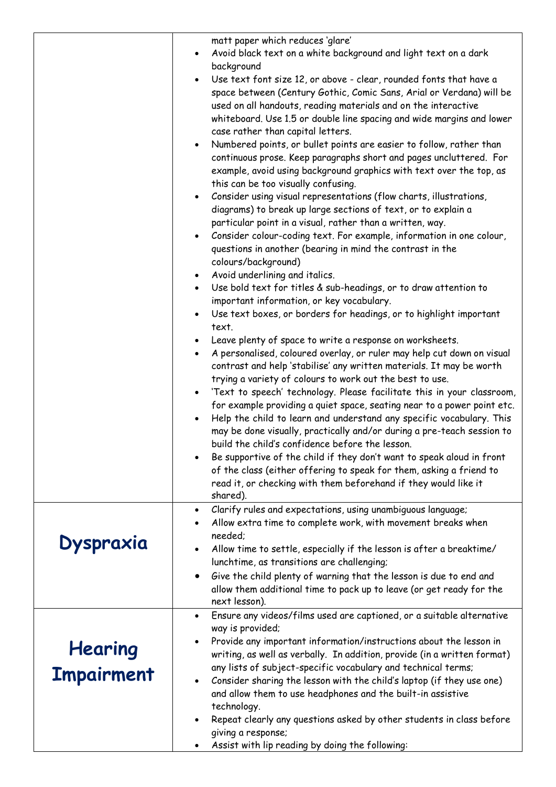|                                     | matt paper which reduces 'glare'<br>Avoid black text on a white background and light text on a dark<br>background<br>Use text font size 12, or above - clear, rounded fonts that have a<br>$\bullet$<br>space between (Century Gothic, Comic Sans, Arial or Verdana) will be<br>used on all handouts, reading materials and on the interactive<br>whiteboard. Use 1.5 or double line spacing and wide margins and lower<br>case rather than capital letters.<br>Numbered points, or bullet points are easier to follow, rather than<br>continuous prose. Keep paragraphs short and pages uncluttered. For<br>example, avoid using background graphics with text over the top, as<br>this can be too visually confusing.<br>Consider using visual representations (flow charts, illustrations,<br>$\bullet$<br>diagrams) to break up large sections of text, or to explain a<br>particular point in a visual, rather than a written, way.<br>Consider colour-coding text. For example, information in one colour,<br>$\bullet$<br>questions in another (bearing in mind the contrast in the<br>colours/background)<br>Avoid underlining and italics.<br>$\bullet$<br>Use bold text for titles & sub-headings, or to draw attention to<br>$\bullet$<br>important information, or key vocabulary.<br>Use text boxes, or borders for headings, or to highlight important<br>text.<br>Leave plenty of space to write a response on worksheets.<br>A personalised, coloured overlay, or ruler may help cut down on visual<br>$\bullet$<br>contrast and help 'stabilise' any written materials. It may be worth<br>trying a variety of colours to work out the best to use.<br>'Text to speech' technology. Please facilitate this in your classroom,<br>for example providing a quiet space, seating near to a power point etc.<br>Help the child to learn and understand any specific vocabulary. This<br>may be done visually, practically and/or during a pre-teach session to<br>build the child's confidence before the lesson.<br>Be supportive of the child if they don't want to speak aloud in front<br>of the class (either offering to speak for them, asking a friend to<br>read it, or checking with them beforehand if they would like it<br>shared). |
|-------------------------------------|---------------------------------------------------------------------------------------------------------------------------------------------------------------------------------------------------------------------------------------------------------------------------------------------------------------------------------------------------------------------------------------------------------------------------------------------------------------------------------------------------------------------------------------------------------------------------------------------------------------------------------------------------------------------------------------------------------------------------------------------------------------------------------------------------------------------------------------------------------------------------------------------------------------------------------------------------------------------------------------------------------------------------------------------------------------------------------------------------------------------------------------------------------------------------------------------------------------------------------------------------------------------------------------------------------------------------------------------------------------------------------------------------------------------------------------------------------------------------------------------------------------------------------------------------------------------------------------------------------------------------------------------------------------------------------------------------------------------------------------------------------------------------------------------------------------------------------------------------------------------------------------------------------------------------------------------------------------------------------------------------------------------------------------------------------------------------------------------------------------------------------------------------------------------------------------------------------------------------------------------------------------|
| Dyspraxia                           | Clarify rules and expectations, using unambiguous language;<br>$\bullet$<br>Allow extra time to complete work, with movement breaks when<br>needed;<br>Allow time to settle, especially if the lesson is after a breaktime/<br>lunchtime, as transitions are challenging;<br>Give the child plenty of warning that the lesson is due to end and<br>allow them additional time to pack up to leave (or get ready for the<br>next lesson).                                                                                                                                                                                                                                                                                                                                                                                                                                                                                                                                                                                                                                                                                                                                                                                                                                                                                                                                                                                                                                                                                                                                                                                                                                                                                                                                                                                                                                                                                                                                                                                                                                                                                                                                                                                                                      |
| <b>Hearing</b><br><b>Impairment</b> | Ensure any videos/films used are captioned, or a suitable alternative<br>$\bullet$<br>way is provided;<br>Provide any important information/instructions about the lesson in<br>writing, as well as verbally. In addition, provide (in a written format)<br>any lists of subject-specific vocabulary and technical terms;<br>Consider sharing the lesson with the child's laptop (if they use one)<br>$\bullet$<br>and allow them to use headphones and the built-in assistive<br>technology.<br>Repeat clearly any questions asked by other students in class before<br>giving a response;<br>Assist with lip reading by doing the following:                                                                                                                                                                                                                                                                                                                                                                                                                                                                                                                                                                                                                                                                                                                                                                                                                                                                                                                                                                                                                                                                                                                                                                                                                                                                                                                                                                                                                                                                                                                                                                                                                |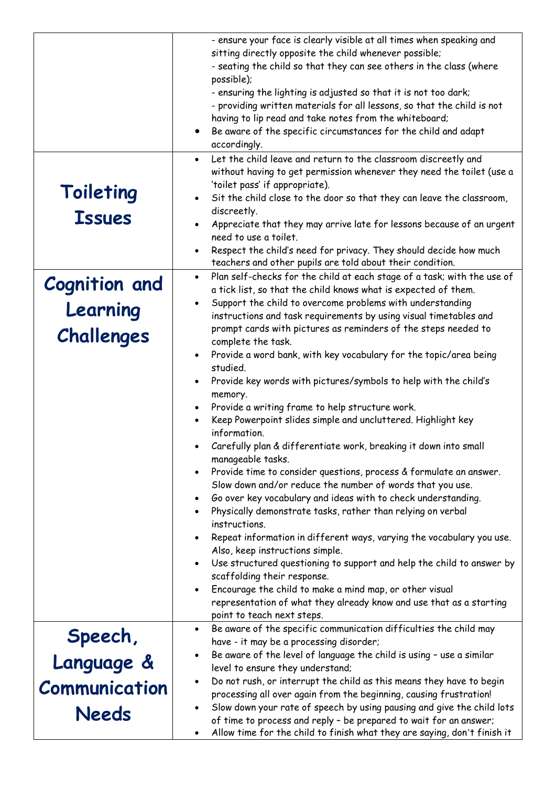|                      | - ensure your face is clearly visible at all times when speaking and                                                                        |
|----------------------|---------------------------------------------------------------------------------------------------------------------------------------------|
|                      | sitting directly opposite the child whenever possible;                                                                                      |
|                      | - seating the child so that they can see others in the class (where                                                                         |
|                      | possible);<br>- ensuring the lighting is adjusted so that it is not too dark;                                                               |
|                      | - providing written materials for all lessons, so that the child is not                                                                     |
|                      | having to lip read and take notes from the whiteboard;                                                                                      |
|                      | Be aware of the specific circumstances for the child and adapt                                                                              |
|                      | accordingly.                                                                                                                                |
|                      | Let the child leave and return to the classroom discreetly and<br>$\bullet$                                                                 |
|                      | without having to get permission whenever they need the toilet (use a<br>'toilet pass' if appropriate).                                     |
| Toileting            | Sit the child close to the door so that they can leave the classroom,                                                                       |
|                      | discreetly.                                                                                                                                 |
| <b>Issues</b>        | Appreciate that they may arrive late for lessons because of an urgent                                                                       |
|                      | need to use a toilet.                                                                                                                       |
|                      | Respect the child's need for privacy. They should decide how much<br>$\bullet$<br>teachers and other pupils are told about their condition. |
|                      | Plan self-checks for the child at each stage of a task; with the use of<br>$\bullet$                                                        |
| <b>Cognition and</b> | a tick list, so that the child knows what is expected of them.                                                                              |
| Learning             | Support the child to overcome problems with understanding                                                                                   |
|                      | instructions and task requirements by using visual timetables and                                                                           |
| Challenges           | prompt cards with pictures as reminders of the steps needed to                                                                              |
|                      | complete the task.<br>Provide a word bank, with key vocabulary for the topic/area being                                                     |
|                      | $\bullet$<br>studied.                                                                                                                       |
|                      | Provide key words with pictures/symbols to help with the child's                                                                            |
|                      | memory.                                                                                                                                     |
|                      | Provide a writing frame to help structure work.<br>$\bullet$                                                                                |
|                      | Keep Powerpoint slides simple and uncluttered. Highlight key                                                                                |
|                      | information.                                                                                                                                |
|                      | Carefully plan & differentiate work, breaking it down into small                                                                            |
|                      | manageable tasks.                                                                                                                           |
|                      | Provide time to consider questions, process & formulate an answer.                                                                          |
|                      | Slow down and/or reduce the number of words that you use.                                                                                   |
|                      | Go over key vocabulary and ideas with to check understanding.                                                                               |
|                      | Physically demonstrate tasks, rather than relying on verbal<br>instructions.                                                                |
|                      | Repeat information in different ways, varying the vocabulary you use.                                                                       |
|                      | Also, keep instructions simple.                                                                                                             |
|                      | Use structured questioning to support and help the child to answer by<br>$\bullet$                                                          |
|                      | scaffolding their response.                                                                                                                 |
|                      | Encourage the child to make a mind map, or other visual                                                                                     |
|                      | representation of what they already know and use that as a starting                                                                         |
|                      | point to teach next steps.                                                                                                                  |
| Speech,              | Be aware of the specific communication difficulties the child may                                                                           |
|                      | have - it may be a processing disorder;<br>Be aware of the level of language the child is using - use a similar                             |
| Language &           | level to ensure they understand;                                                                                                            |
|                      | Do not rush, or interrupt the child as this means they have to begin<br>$\bullet$                                                           |
| Communication        | processing all over again from the beginning, causing frustration!                                                                          |
|                      | Slow down your rate of speech by using pausing and give the child lots                                                                      |
| <b>Needs</b>         | of time to process and reply - be prepared to wait for an answer;                                                                           |
|                      | Allow time for the child to finish what they are saying, don't finish it                                                                    |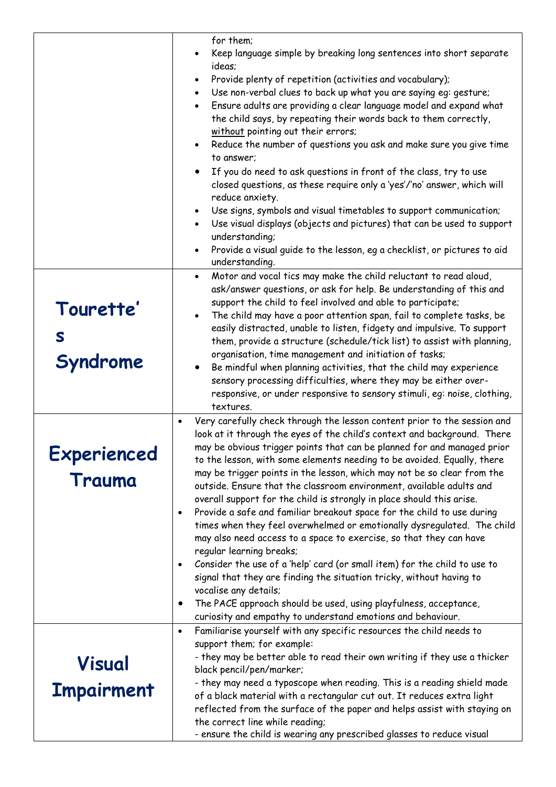|                            | for them;<br>Keep language simple by breaking long sentences into short separate<br>ideas;<br>Provide plenty of repetition (activities and vocabulary);<br>Use non-verbal clues to back up what you are saying eg: gesture;<br>$\bullet$<br>Ensure adults are providing a clear language model and expand what<br>$\bullet$<br>the child says, by repeating their words back to them correctly,<br>without pointing out their errors;                                                                                                                                                                                                                                                                                           |
|----------------------------|---------------------------------------------------------------------------------------------------------------------------------------------------------------------------------------------------------------------------------------------------------------------------------------------------------------------------------------------------------------------------------------------------------------------------------------------------------------------------------------------------------------------------------------------------------------------------------------------------------------------------------------------------------------------------------------------------------------------------------|
|                            | Reduce the number of questions you ask and make sure you give time<br>to answer;<br>If you do need to ask questions in front of the class, try to use<br>closed questions, as these require only a 'yes'/'no' answer, which will                                                                                                                                                                                                                                                                                                                                                                                                                                                                                                |
|                            | reduce anxiety.<br>Use signs, symbols and visual timetables to support communication;<br>Use visual displays (objects and pictures) that can be used to support<br>understanding;<br>Provide a visual guide to the lesson, eg a checklist, or pictures to aid<br>understanding.                                                                                                                                                                                                                                                                                                                                                                                                                                                 |
| Tourette'<br>S<br>Syndrome | Motor and vocal tics may make the child reluctant to read aloud,<br>$\bullet$<br>ask/answer questions, or ask for help. Be understanding of this and<br>support the child to feel involved and able to participate;<br>The child may have a poor attention span, fail to complete tasks, be<br>easily distracted, unable to listen, fidgety and impulsive. To support<br>them, provide a structure (schedule/tick list) to assist with planning,<br>organisation, time management and initiation of tasks;<br>Be mindful when planning activities, that the child may experience<br>sensory processing difficulties, where they may be either over-<br>responsive, or under responsive to sensory stimuli, eg: noise, clothing, |
|                            | textures.<br>Very carefully check through the lesson content prior to the session and<br>$\bullet$<br>look at it through the eyes of the child's context and background. There                                                                                                                                                                                                                                                                                                                                                                                                                                                                                                                                                  |
| <b>Experienced</b>         | may be obvious trigger points that can be planned for and managed prior<br>to the lesson, with some elements needing to be avoided. Equally, there                                                                                                                                                                                                                                                                                                                                                                                                                                                                                                                                                                              |
| Trauma                     | may be trigger points in the lesson, which may not be so clear from the<br>outside. Ensure that the classroom environment, available adults and<br>overall support for the child is strongly in place should this arise.<br>Provide a safe and familiar breakout space for the child to use during<br>$\bullet$<br>times when they feel overwhelmed or emotionally dysregulated. The child<br>may also need access to a space to exercise, so that they can have<br>regular learning breaks;<br>Consider the use of a 'help' card (or small item) for the child to use to<br>$\bullet$<br>signal that they are finding the situation tricky, without having to<br>vocalise any details;                                         |
|                            | The PACE approach should be used, using playfulness, acceptance,<br>$\bullet$<br>curiosity and empathy to understand emotions and behaviour.                                                                                                                                                                                                                                                                                                                                                                                                                                                                                                                                                                                    |
| Visual                     | Familiarise yourself with any specific resources the child needs to<br>$\bullet$<br>support them; for example:<br>- they may be better able to read their own writing if they use a thicker<br>black pencil/pen/marker;<br>- they may need a typoscope when reading. This is a reading shield made                                                                                                                                                                                                                                                                                                                                                                                                                              |
| <b>Impairment</b>          | of a black material with a rectangular cut out. It reduces extra light<br>reflected from the surface of the paper and helps assist with staying on<br>the correct line while reading;<br>- ensure the child is wearing any prescribed glasses to reduce visual                                                                                                                                                                                                                                                                                                                                                                                                                                                                  |